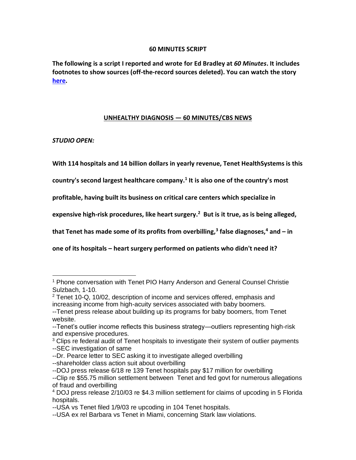### **60 MINUTES SCRIPT**

**The following is a script I reported and wrote for Ed Bradley at** *60 Minutes***. It includes footnotes to show sources (off-the-record sources deleted). You can watch the story [here.](https://vimeo.com/73169388)**

## **UNHEALTHY DIAGNOSIS — 60 MINUTES/CBS NEWS**

*STUDIO OPEN:* 

**With 114 hospitals and 14 billion dollars in yearly revenue, Tenet HealthSystems is this** 

**country's second largest healthcare company.<sup>1</sup> It is also one of the country's most** 

**profitable, having built its business on critical care centers which specialize in** 

**expensive high-risk procedures, like heart surgery.<sup>2</sup> But is it true, as is being alleged,** 

**that Tenet has made some of its profits from overbilling,<sup>3</sup> false diagnoses,<sup>4</sup> and – in** 

**one of its hospitals – heart surgery performed on patients who didn't need it?**

<sup>1</sup> Phone conversation with Tenet PIO Harry Anderson and General Counsel Christie Sulzbach, 1-10.

<sup>2</sup> Tenet 10-Q, 10/02, description of income and services offered, emphasis and increasing income from high-acuity services associated with baby boomers. --Tenet press release about building up its programs for baby boomers, from Tenet

website.

<sup>--</sup>Tenet's outlier income reflects this business strategy—outliers representing high-risk and expensive procedures.

 $3$  Clips re federal audit of Tenet hospitals to investigate their system of outlier payments --SEC investigation of same

<sup>--</sup>Dr. Pearce letter to SEC asking it to investigate alleged overbilling

<sup>--</sup>shareholder class action suit about overbilling

<sup>--</sup>DOJ press release 6/18 re 139 Tenet hospitals pay \$17 million for overbilling

<sup>--</sup>Clip re \$55.75 million settlement between Tenet and fed govt for numerous allegations of fraud and overbilling

<sup>4</sup> DOJ press release 2/10/03 re \$4.3 million settlement for claims of upcoding in 5 Florida hospitals.

<sup>--</sup>USA vs Tenet filed 1/9/03 re upcoding in 104 Tenet hospitals.

<sup>--</sup>USA ex rel Barbara vs Tenet in Miami, concerning Stark law violations.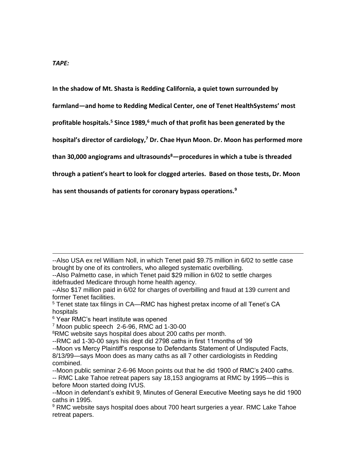**In the shadow of Mt. Shasta is Redding California, a quiet town surrounded by** 

**farmland—and home to Redding Medical Center, one of Tenet HealthSystems' most** 

**profitable hospitals.<sup>5</sup> Since 1989,<sup>6</sup> much of that profit has been generated by the** 

**hospital's director of cardiology,<sup>7</sup> Dr. Chae Hyun Moon. Dr. Moon has performed more** 

**than 30,000 angiograms and ultrasounds<sup>8</sup>—procedures in which a tube is threaded** 

**through a patient's heart to look for clogged arteries. Based on those tests, Dr. Moon** 

**has sent thousands of patients for coronary bypass operations.<sup>9</sup>**

--Also USA ex rel William Noll, in which Tenet paid \$9.75 million in 6/02 to settle case brought by one of its controllers, who alleged systematic overbilling.

--Also Palmetto case, in which Tenet paid \$29 million in 6/02 to settle charges itdefrauded Medicare through home health agency.

<sup>--</sup>Also \$17 million paid in 6/02 for charges of overbilling and fraud at 139 current and former Tenet facilities.

<sup>5</sup> Tenet state tax filings in CA—RMC has highest pretax income of all Tenet's CA hospitals

<sup>&</sup>lt;sup>6</sup> Year RMC's heart institute was opened

<sup>7</sup> Moon public speech 2-6-96, RMC ad 1-30-00

<sup>&</sup>lt;sup>8</sup>RMC website says hospital does about 200 caths per month.

<sup>--</sup>RMC ad 1-30-00 says his dept did 2798 caths in first 11months of '99

<sup>--</sup>Moon vs Mercy Plaintiff's response to Defendants Statement of Undisputed Facts,

<sup>8/13/99—</sup>says Moon does as many caths as all 7 other cardiologists in Redding combined.

<sup>--</sup>Moon public seminar 2-6-96 Moon points out that he did 1900 of RMC's 2400 caths.

<sup>--</sup> RMC Lake Tahoe retreat papers say 18,153 angiograms at RMC by 1995—this is before Moon started doing IVUS.

<sup>--</sup>Moon in defendant's exhibit 9, Minutes of General Executive Meeting says he did 1900 caths in 1995.

<sup>&</sup>lt;sup>9</sup> RMC website says hospital does about 700 heart surgeries a year. RMC Lake Tahoe retreat papers.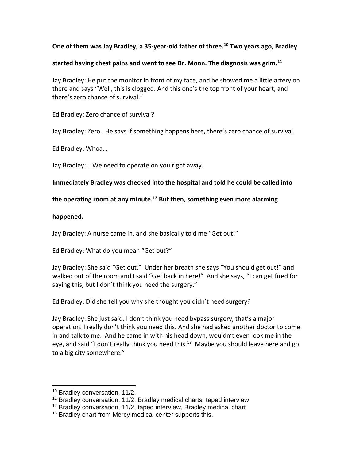## **One of them was Jay Bradley, a 35-year-old father of three.<sup>10</sup> Two years ago, Bradley**

### **started having chest pains and went to see Dr. Moon. The diagnosis was grim.<sup>11</sup>**

Jay Bradley: He put the monitor in front of my face, and he showed me a little artery on there and says "Well, this is clogged. And this one's the top front of your heart, and there's zero chance of survival."

Ed Bradley: Zero chance of survival?

Jay Bradley: Zero. He says if something happens here, there's zero chance of survival.

Ed Bradley: Whoa…

Jay Bradley: …We need to operate on you right away.

## **Immediately Bradley was checked into the hospital and told he could be called into**

# **the operating room at any minute.<sup>12</sup> But then, something even more alarming**

### **happened.**

Jay Bradley: A nurse came in, and she basically told me "Get out!"

Ed Bradley: What do you mean "Get out?"

Jay Bradley: She said "Get out." Under her breath she says "You should get out!" and walked out of the room and I said "Get back in here!" And she says, "I can get fired for saying this, but I don't think you need the surgery."

Ed Bradley: Did she tell you why she thought you didn't need surgery?

Jay Bradley: She just said, I don't think you need bypass surgery, that's a major operation. I really don't think you need this. And she had asked another doctor to come in and talk to me. And he came in with his head down, wouldn't even look me in the eye, and said "I don't really think you need this.<sup>13</sup> Maybe you should leave here and go to a big city somewhere."

<sup>&</sup>lt;sup>10</sup> Bradley conversation, 11/2.

<sup>&</sup>lt;sup>11</sup> Bradley conversation, 11/2. Bradley medical charts, taped interview

<sup>&</sup>lt;sup>12</sup> Bradley conversation, 11/2, taped interview, Bradley medical chart

<sup>&</sup>lt;sup>13</sup> Bradley chart from Mercy medical center supports this.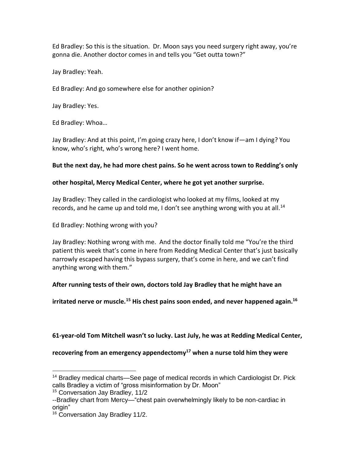Ed Bradley: So this is the situation. Dr. Moon says you need surgery right away, you're gonna die. Another doctor comes in and tells you "Get outta town?"

Jay Bradley: Yeah.

Ed Bradley: And go somewhere else for another opinion?

Jay Bradley: Yes.

Ed Bradley: Whoa…

Jay Bradley: And at this point, I'm going crazy here, I don't know if—am I dying? You know, who's right, who's wrong here? I went home.

## **But the next day, he had more chest pains. So he went across town to Redding's only**

## **other hospital, Mercy Medical Center, where he got yet another surprise.**

Jay Bradley: They called in the cardiologist who looked at my films, looked at my records, and he came up and told me, I don't see anything wrong with you at all.<sup>14</sup>

Ed Bradley: Nothing wrong with you?

Jay Bradley: Nothing wrong with me. And the doctor finally told me "You're the third patient this week that's come in here from Redding Medical Center that's just basically narrowly escaped having this bypass surgery, that's come in here, and we can't find anything wrong with them."

# **After running tests of their own, doctors told Jay Bradley that he might have an**

**irritated nerve or muscle.<sup>15</sup> His chest pains soon ended, and never happened again.<sup>16</sup>**

**61-year-old Tom Mitchell wasn't so lucky. Last July, he was at Redding Medical Center,** 

**recovering from an emergency appendectomy<sup>17</sup> when a nurse told him they were** 

<sup>&</sup>lt;sup>14</sup> Bradley medical charts—See page of medical records in which Cardiologist Dr. Pick calls Bradley a victim of "gross misinformation by Dr. Moon"

<sup>&</sup>lt;sup>15</sup> Conversation Jay Bradley, 11/2

<sup>--</sup>Bradley chart from Mercy—"chest pain overwhelmingly likely to be non-cardiac in origin"

<sup>&</sup>lt;sup>16</sup> Conversation Jay Bradley 11/2.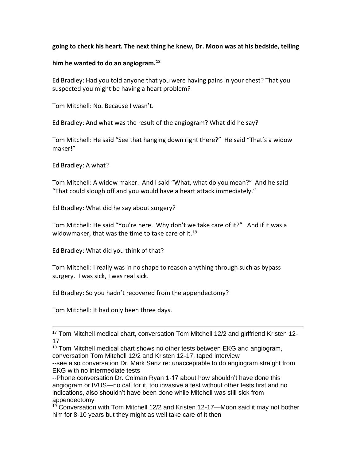### **going to check his heart. The next thing he knew, Dr. Moon was at his bedside, telling**

### **him he wanted to do an angiogram.<sup>18</sup>**

Ed Bradley: Had you told anyone that you were having pains in your chest? That you suspected you might be having a heart problem?

Tom Mitchell: No. Because I wasn't.

Ed Bradley: And what was the result of the angiogram? What did he say?

Tom Mitchell: He said "See that hanging down right there?" He said "That's a widow maker!"

Ed Bradley: A what?

Tom Mitchell: A widow maker. And I said "What, what do you mean?" And he said "That could slough off and you would have a heart attack immediately."

Ed Bradley: What did he say about surgery?

Tom Mitchell: He said "You're here. Why don't we take care of it?" And if it was a widowmaker, that was the time to take care of it.<sup>19</sup>

Ed Bradley: What did you think of that?

Tom Mitchell: I really was in no shape to reason anything through such as bypass surgery. I was sick, I was real sick.

Ed Bradley: So you hadn't recovered from the appendectomy?

Tom Mitchell: It had only been three days.

<sup>17</sup> Tom Mitchell medical chart, conversation Tom Mitchell 12/2 and girlfriend Kristen 12-17

<sup>18</sup> Tom Mitchell medical chart shows no other tests between EKG and angiogram, conversation Tom Mitchell 12/2 and Kristen 12-17, taped interview

--see also conversation Dr. Mark Sanz re: unacceptable to do angiogram straight from EKG with no intermediate tests

--Phone conversation Dr. Colman Ryan 1-17 about how shouldn't have done this angiogram or IVUS—no call for it, too invasive a test without other tests first and no indications, also shouldn't have been done while Mitchell was still sick from appendectomy

<sup>19</sup> Conversation with Tom Mitchell 12/2 and Kristen 12-17—Moon said it may not bother him for 8-10 years but they might as well take care of it then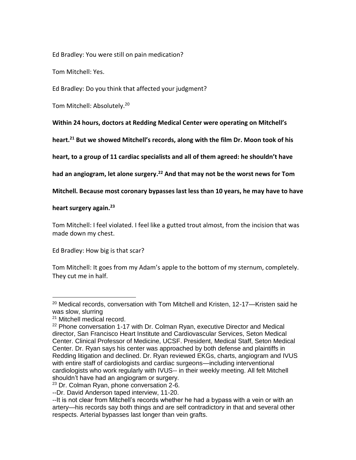Ed Bradley: You were still on pain medication?

Tom Mitchell: Yes.

Ed Bradley: Do you think that affected your judgment?

Tom Mitchell: Absolutely.<sup>20</sup>

**Within 24 hours, doctors at Redding Medical Center were operating on Mitchell's** 

**heart.<sup>21</sup> But we showed Mitchell's records, along with the film Dr. Moon took of his** 

**heart, to a group of 11 cardiac specialists and all of them agreed: he shouldn't have** 

**had an angiogram, let alone surgery.<sup>22</sup> And that may not be the worst news for Tom** 

**Mitchell. Because most coronary bypasses last less than 10 years, he may have to have** 

### **heart surgery again.<sup>23</sup>**

Tom Mitchell: I feel violated. I feel like a gutted trout almost, from the incision that was made down my chest.

Ed Bradley: How big is that scar?

Tom Mitchell: It goes from my Adam's apple to the bottom of my sternum, completely. They cut me in half.

<sup>&</sup>lt;sup>20</sup> Medical records, conversation with Tom Mitchell and Kristen, 12-17—Kristen said he was slow, slurring

<sup>21</sup> Mitchell medical record.

<sup>&</sup>lt;sup>22</sup> Phone conversation 1-17 with Dr. Colman Ryan, executive Director and Medical director, San Francisco Heart Institute and Cardiovascular Services, Seton Medical Center. Clinical Professor of Medicine, UCSF. President, Medical Staff, Seton Medical Center. Dr. Ryan says his center was approached by both defense and plaintiffs in Redding litigation and declined. Dr. Ryan reviewed EKGs, charts, angiogram and IVUS with entire staff of cardiologists and cardiac surgeons—including interventional cardiologists who work regularly with IVUS-- in their weekly meeting. All felt Mitchell shouldn't have had an angiogram or surgery.

<sup>&</sup>lt;sup>23</sup> Dr. Colman Ryan, phone conversation 2-6.

<sup>--</sup>Dr. David Anderson taped interview, 11-20.

<sup>--</sup>It is not clear from Mitchell's records whether he had a bypass with a vein or with an artery—his records say both things and are self contradictory in that and several other respects. Arterial bypasses last longer than vein grafts.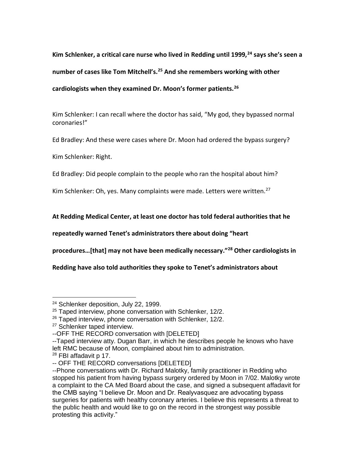**Kim Schlenker, a critical care nurse who lived in Redding until 1999,<sup>24</sup> says she's seen a number of cases like Tom Mitchell's.<sup>25</sup> And she remembers working with other cardiologists when they examined Dr. Moon's former patients.<sup>26</sup>**

Kim Schlenker: I can recall where the doctor has said, "My god, they bypassed normal coronaries!"

Ed Bradley: And these were cases where Dr. Moon had ordered the bypass surgery?

Kim Schlenker: Right.

Ed Bradley: Did people complain to the people who ran the hospital about him?

Kim Schlenker: Oh, yes. Many complaints were made. Letters were written.<sup>27</sup>

**At Redding Medical Center, at least one doctor has told federal authorities that he** 

**repeatedly warned Tenet's administrators there about doing "heart** 

**procedures…[that] may not have been medically necessary."<sup>28</sup> Other cardiologists in** 

**Redding have also told authorities they spoke to Tenet's administrators about** 

<sup>&</sup>lt;sup>24</sup> Schlenker deposition, July 22, 1999.

 $25$  Taped interview, phone conversation with Schlenker, 12/2.

<sup>&</sup>lt;sup>26</sup> Taped interview, phone conversation with Schlenker, 12/2.

<sup>&</sup>lt;sup>27</sup> Schlenker taped interview.

<sup>--</sup>OFF THE RECORD conversation with [DELETED]

<sup>--</sup>Taped interview atty. Dugan Barr, in which he describes people he knows who have left RMC because of Moon, complained about him to administration.

 $28$  FBI affadavit p 17.

<sup>--</sup> OFF THE RECORD conversations [DELETED]

<sup>--</sup>Phone conversations with Dr. Richard Malotky, family practitioner in Redding who stopped his patient from having bypass surgery ordered by Moon in 7/02. Malotky wrote a complaint to the CA Med Board about the case, and signed a subsequent affadavit for the CMB saying "I believe Dr. Moon and Dr. Realyvasquez are advocating bypass surgeries for patients with healthy coronary arteries. I believe this represents a threat to the public health and would like to go on the record in the strongest way possible protesting this activity."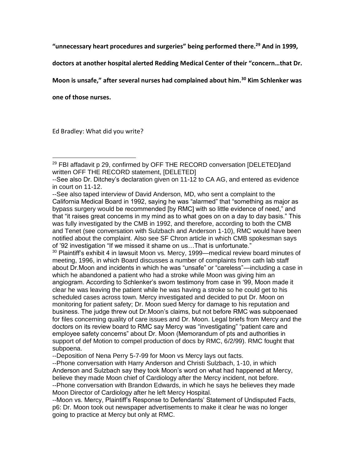**"unnecessary heart procedures and surgeries" being performed there.<sup>29</sup> And in 1999,** 

**doctors at another hospital alerted Redding Medical Center of their "concern…that Dr.** 

**Moon is unsafe," after several nurses had complained about him.<sup>30</sup> Kim Schlenker was** 

**one of those nurses.**

Ed Bradley: What did you write?

 $30$  Plaintiff's exhibit 4 in lawsuit Moon vs. Mercy, 1999—medical review board minutes of meeting, 1996, in which Board discusses a number of complaints from cath lab staff about Dr.Moon and incidents in which he was "unsafe" or "careless"—including a case in which he abandoned a patient who had a stroke while Moon was giving him an angiogram. According to Schlenker's sworn testimony from case in '99, Moon made it clear he was leaving the patient while he was having a stroke so he could get to his scheduled cases across town. Mercy investigated and decided to put Dr. Moon on monitoring for patient safety; Dr. Moon sued Mercy for damage to his reputation and business. The judge threw out Dr.Moon's claims, but not before RMC was subpoenaed for files concerning quality of care issues and Dr. Moon. Legal briefs from Mercy and the doctors on its review board to RMC say Mercy was "investigating" "patient care and employee safety concerns" about Dr. Moon (Memorandum of pts and authorities in support of def Motion to compel production of docs by RMC, 6/2/99). RMC fought that subpoena.

--Deposition of Nena Perry 5-7-99 for Moon vs Mercy lays out facts.

--Phone conversation with Harry Anderson and Christi Sulzbach, 1-10, in which Anderson and Sulzbach say they took Moon's word on what had happened at Mercy, believe they made Moon chief of Cardiology after the Mercy incident, not before. --Phone conversation with Brandon Edwards, in which he says he believes they made Moon Director of Cardiology after he left Mercy Hospital.

--Moon vs. Mercy, Plaintiff's Response to Defendants' Statement of Undisputed Facts, p6: Dr. Moon took out newspaper advertisements to make it clear he was no longer going to practice at Mercy but only at RMC.

 $^{29}$  FBI affadavit p 29, confirmed by OFF THE RECORD conversation [DELETED]and written OFF THE RECORD statement, [DELETED]

<sup>--</sup>See also Dr. Ditchey's declaration given on 11-12 to CA AG, and entered as evidence in court on 11-12.

<sup>--</sup>See also taped interview of David Anderson, MD, who sent a complaint to the California Medical Board in 1992, saying he was "alarmed" that "something as major as bypass surgery would be recommended [by RMC] with so little evidence of need," and that "it raises great concerns in my mind as to what goes on on a day to day basis." This was fully investigated by the CMB in 1992, and therefore, according to both the CMB and Tenet (see conversation with Sulzbach and Anderson 1-10), RMC would have been notified about the complaint. Also see SF Chron article in which CMB spokesman says of '92 investigation "If we missed it shame on us…That is unfortunate."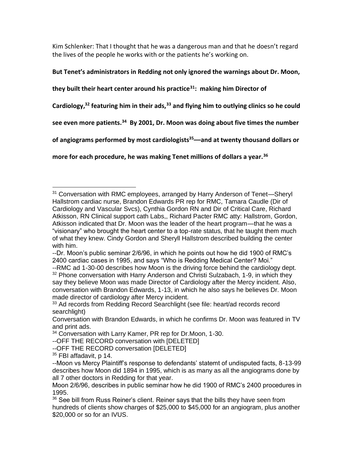Kim Schlenker: That I thought that he was a dangerous man and that he doesn't regard the lives of the people he works with or the patients he's working on.

# **But Tenet's administrators in Redding not only ignored the warnings about Dr. Moon,**

**they built their heart center around his practice<sup>31</sup>: making him Director of** 

**Cardiology,<sup>32</sup> featuring him in their ads,<sup>33</sup> and flying him to outlying clinics so he could** 

**see even more patients.<sup>34</sup> By 2001, Dr. Moon was doing about five times the number** 

**of angiograms performed by most cardiologists<sup>35</sup>––and at twenty thousand dollars or** 

**more for each procedure, he was making Tenet millions of dollars a year.<sup>36</sup>**

<sup>&</sup>lt;sup>31</sup> Conversation with RMC employees, arranged by Harry Anderson of Tenet—Sheryl Hallstrom cardiac nurse, Brandon Edwards PR rep for RMC, Tamara Caudle (Dir of Cardiology and Vascular Svcs), Cynthia Gordon RN and Dir of Critical Care, Richard Atkisson, RN Clinical support cath Labs,, Richard Pacter RMC atty: Hallstrom, Gordon, Atkisson indicated that Dr. Moon was the leader of the heart program—that he was a "visionary" who brought the heart center to a top-rate status, that he taught them much of what they knew. Cindy Gordon and Sheryll Hallstrom described building the center with him.

<sup>--</sup>Dr. Moon's public seminar 2/6/96, in which he points out how he did 1900 of RMC's 2400 cardiac cases in 1995, and says "Who is Redding Medical Center? Moi."

<sup>--</sup>RMC ad 1-30-00 describes how Moon is the driving force behind the cardiology dept.  $32$  Phone conversation with Harry Anderson and Christi Sulzabach, 1-9, in which they say they believe Moon was made Director of Cardiology after the Mercy incident. Also, conversation with Brandon Edwards, 1-13, in which he also says he believes Dr. Moon made director of cardiology after Mercy incident.

<sup>&</sup>lt;sup>33</sup> Ad records from Redding Record Searchlight (see file: heart/ad records record searchlight)

Conversation with Brandon Edwards, in which he confirms Dr. Moon was featured in TV and print ads.

<sup>&</sup>lt;sup>34</sup> Conversation with Larry Kamer, PR rep for Dr. Moon, 1-30.

<sup>--</sup>OFF THE RECORD conversation with [DELETED]

<sup>--</sup>OFF THE RECORD conversation [DELETED]

 $35$  FBI affadavit, p 14.

<sup>--</sup>Moon vs Mercy Plaintiff's response to defendants' statemt of undisputed facts, 8-13-99 describes how Moon did 1894 in 1995, which is as many as all the angiograms done by all 7 other doctors in Redding for that year.

Moon 2/6/96, describes in public seminar how he did 1900 of RMC's 2400 procedures in 1995.

<sup>&</sup>lt;sup>36</sup> See bill from Russ Reiner's client. Reiner says that the bills they have seen from hundreds of clients show charges of \$25,000 to \$45,000 for an angiogram, plus another \$20,000 or so for an IVUS.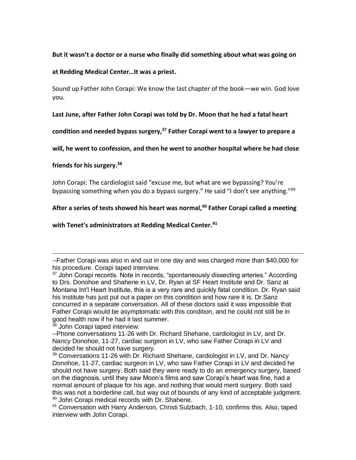**But it wasn't a doctor or a nurse who finally did something about what was going on** 

**at Redding Medical Center…It was a priest.**

Sound up Father John Corapi: We know the last chapter of the book—we win. God love you.

**Last June, after Father John Corapi was told by Dr. Moon that he had a fatal heart** 

**condition and needed bypass surgery,<sup>37</sup> Father Corapi went to a lawyer to prepare a** 

**will, he went to confession, and then he went to another hospital where he had close** 

**friends for his surgery.<sup>38</sup>**

John Corapi: The cardiologist said "excuse me, but what are we bypassing? You're bypassing something when you do a bypass surgery." He said "I don't see anything."<sup>39</sup>

**After a series of tests showed his heart was normal,<sup>40</sup> Father Corapi called a meeting** 

**with Tenet's administrators at Redding Medical Center.<sup>41</sup>**

<sup>--</sup>Father Corapi was also in and out in one day and was charged more than \$40,000 for his procedure. Corapi taped interview.

 $37$  John Corapi records. Note in records, "spontaneously dissecting arteries." According to Drs. Donohoe and Shahene in LV, Dr. Ryan at SF Heart Institute and Dr. Sanz at Montana Int'l Heart Institute, this is a very rare and quickly fatal condition. Dr. Ryan said his institute has just put out a paper on this condition and how rare it is. Dr.Sanz concurred in a separate conversation. All of these doctors said it was impossible that Father Corapi would be asymptomatic with this condition, and he could not still be in good health now if he had it last summer.

<sup>&</sup>lt;sup>38</sup> John Corapi taped interview.

<sup>--</sup>Phone conversations 11-26 with Dr. Richard Shehane, cardiologist in LV, and Dr. Nancy Donohoe, 11-27, cardiac surgeon in LV, who saw Father Corapi in LV and decided he should not have surgery.

 $39$  Conversations 11-26 with Dr. Richard Shehane, cardiologist in LV, and Dr. Nancy Donohoe, 11-27, cardiac surgeon in LV, who saw Father Corapi in LV and decided he should not have surgery. Both said they were ready to do an emergency surgery, based on the diagnosis, until they saw Moon's films and saw Corapi's heart was fine, had a normal amount of plaque for his age, and nothing that would merit surgery. Both said this was not a borderline call, but way out of bounds of any kind of acceptable judgment. <sup>40</sup> John Corapi medical records with Dr. Shahene.

<sup>41</sup> Conversation with Harry Anderson, Christi Sulzbach, 1-10, confirms this. Also, taped interview with John Corapi.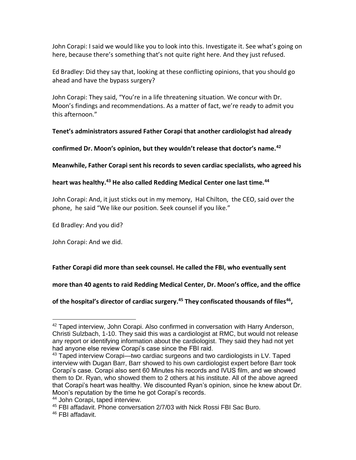John Corapi: I said we would like you to look into this. Investigate it. See what's going on here, because there's something that's not quite right here. And they just refused.

Ed Bradley: Did they say that, looking at these conflicting opinions, that you should go ahead and have the bypass surgery?

John Corapi: They said, "You're in a life threatening situation. We concur with Dr. Moon's findings and recommendations. As a matter of fact, we're ready to admit you this afternoon."

**Tenet's administrators assured Father Corapi that another cardiologist had already** 

**confirmed Dr. Moon's opinion, but they wouldn't release that doctor's name.<sup>42</sup>** 

**Meanwhile, Father Corapi sent his records to seven cardiac specialists, who agreed his** 

**heart was healthy.<sup>43</sup> He also called Redding Medical Center one last time.<sup>44</sup>**

John Corapi: And, it just sticks out in my memory, Hal Chilton, the CEO, said over the phone, he said "We like our position. Seek counsel if you like."

Ed Bradley: And you did?

John Corapi: And we did.

**Father Corapi did more than seek counsel. He called the FBI, who eventually sent** 

**more than 40 agents to raid Redding Medical Center, Dr. Moon's office, and the office** 

**of the hospital's director of cardiac surgery.<sup>45</sup> They confiscated thousands of files<sup>46</sup> ,** 

<sup>&</sup>lt;sup>42</sup> Taped interview, John Corapi. Also confirmed in conversation with Harry Anderson, Christi Sulzbach, 1-10. They said this was a cardiologist at RMC, but would not release any report or identifying information about the cardiologist. They said they had not yet had anyone else review Corapi's case since the FBI raid.

 $43$  Taped interview Corapi—two cardiac surgeons and two cardiologists in LV. Taped interview with Dugan Barr, Barr showed to his own cardiologist expert before Barr took Corapi's case. Corapi also sent 60 Minutes his records and IVUS film, and we showed them to Dr. Ryan, who showed them to 2 others at his institute. All of the above agreed that Corapi's heart was healthy. We discounted Ryan's opinion, since he knew about Dr. Moon's reputation by the time he got Corapi's records.

<sup>44</sup> John Corapi, taped interview.

<sup>45</sup> FBI affadavit. Phone conversation 2/7/03 with Nick Rossi FBI Sac Buro.

<sup>46</sup> FBI affadavit.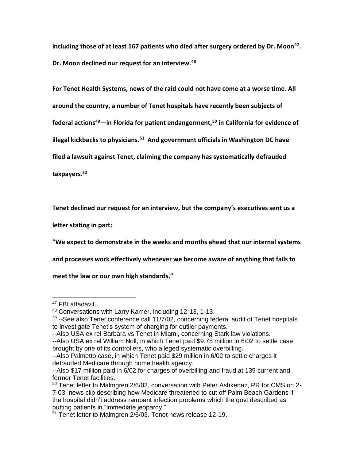**including those of at least 167 patients who died after surgery ordered by Dr. Moon<sup>47</sup> . Dr. Moon declined our request for an interview.<sup>48</sup>**

**For Tenet Health Systems, news of the raid could not have come at a worse time. All around the country, a number of Tenet hospitals have recently been subjects of federal actions<sup>49</sup>—in Florida for patient endangerment,<sup>50</sup> in California for evidence of illegal kickbacks to physicians.<sup>51</sup> And government officials in Washington DC have** 

**filed a lawsuit against Tenet, claiming the company has systematically defrauded** 

**taxpayers.<sup>52</sup>**

**Tenet declined our request for an interview, but the company's executives sent us a** 

**letter stating in part:**

**"We expect to demonstrate in the weeks and months ahead that our internal systems** 

**and processes work effectively whenever we become aware of anything that fails to** 

**meet the law or our own high standards."**

<sup>&</sup>lt;sup>47</sup> FBI affadavit.

<sup>48</sup> Conversations with Larry Kamer, including 12-13, 1-13.

<sup>&</sup>lt;sup>49</sup> --See also Tenet conference call 11/7/02, concerning federal audit of Tenet hospitals to investigate Tenet's system of charging for outlier payments.

<sup>--</sup>Also USA ex rel Barbara vs Tenet in Miami, concerning Stark law violations.

<sup>--</sup>Also USA ex rel William Noll, in which Tenet paid \$9.75 million in 6/02 to settle case brought by one of its controllers, who alleged systematic overbilling.

<sup>--</sup>Also Palmetto case, in which Tenet paid \$29 million in 6/02 to settle charges it defrauded Medicare through home health agency.

<sup>--</sup>Also \$17 million paid in 6/02 for charges of overbilling and fraud at 139 current and former Tenet facilities.

<sup>&</sup>lt;sup>50</sup> Tenet letter to Malmgren 2/6/03, conversation with Peter Ashkenaz, PR for CMS on 2-7-03, news clip describing how Medicare threatened to cut off Palm Beach Gardens if the hospital didn't address rampant infection problems which the govt described as putting patients in "immediate jeopardy."

<sup>51</sup> Tenet letter to Malmgren 2/6/03. Tenet news release 12-19.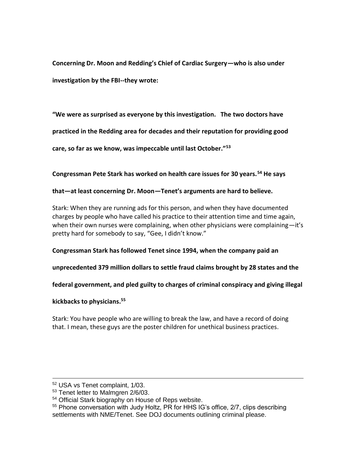**Concerning Dr. Moon and Redding's Chief of Cardiac Surgery—who is also under investigation by the FBI--they wrote:**

**"We were as surprised as everyone by this investigation. The two doctors have** 

**practiced in the Redding area for decades and their reputation for providing good** 

**care, so far as we know, was impeccable until last October."<sup>53</sup>**

**Congressman Pete Stark has worked on health care issues for 30 years.<sup>54</sup> He says** 

# **that—at least concerning Dr. Moon—Tenet's arguments are hard to believe.**

Stark: When they are running ads for this person, and when they have documented charges by people who have called his practice to their attention time and time again, when their own nurses were complaining, when other physicians were complaining—it's pretty hard for somebody to say, "Gee, I didn't know."

# **Congressman Stark has followed Tenet since 1994, when the company paid an**

**unprecedented 379 million dollars to settle fraud claims brought by 28 states and the** 

**federal government, and pled guilty to charges of criminal conspiracy and giving illegal** 

# **kickbacks to physicians.<sup>55</sup>**

Stark: You have people who are willing to break the law, and have a record of doing that. I mean, these guys are the poster children for unethical business practices.

<sup>52</sup> USA vs Tenet complaint, 1/03.

<sup>53</sup> Tenet letter to Malmgren 2/6/03.

<sup>54</sup> Official Stark biography on House of Reps website.

<sup>&</sup>lt;sup>55</sup> Phone conversation with Judy Holtz, PR for HHS IG's office, 2/7, clips describing settlements with NME/Tenet. See DOJ documents outlining criminal please.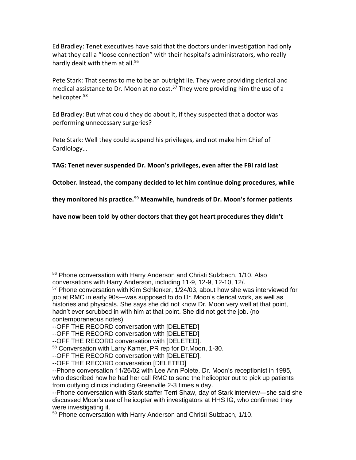Ed Bradley: Tenet executives have said that the doctors under investigation had only what they call a "loose connection" with their hospital's administrators, who really hardly dealt with them at all.<sup>56</sup>

Pete Stark: That seems to me to be an outright lie. They were providing clerical and medical assistance to Dr. Moon at no cost.<sup>57</sup> They were providing him the use of a helicopter.<sup>58</sup>

Ed Bradley: But what could they do about it, if they suspected that a doctor was performing unnecessary surgeries?

Pete Stark: Well they could suspend his privileges, and not make him Chief of Cardiology…

**TAG: Tenet never suspended Dr. Moon's privileges, even after the FBI raid last** 

**October. Instead, the company decided to let him continue doing procedures, while** 

**they monitored his practice.<sup>59</sup> Meanwhile, hundreds of Dr. Moon's former patients** 

**have now been told by other doctors that they got heart procedures they didn't** 

<sup>56</sup> Phone conversation with Harry Anderson and Christi Sulzbach, 1/10. Also conversations with Harry Anderson, including 11-9, 12-9, 12-10, 12/.

<sup>57</sup> Phone conversation with Kim Schlenker, 1/24/03, about how she was interviewed for job at RMC in early 90s—was supposed to do Dr. Moon's clerical work, as well as histories and physicals. She says she did not know Dr. Moon very well at that point, hadn't ever scrubbed in with him at that point. She did not get the job. (no contemporaneous notes)

<sup>--</sup>OFF THE RECORD conversation with [DELETED]

<sup>--</sup>OFF THE RECORD conversation with [DELETED]

<sup>--</sup>OFF THE RECORD conversation with [DELETED].

<sup>58</sup> Conversation with Larry Kamer, PR rep for Dr.Moon, 1-30.

<sup>--</sup>OFF THE RECORD conversation with [DELETED].

<sup>--</sup>OFF THE RECORD conversation [DELETED]

<sup>--</sup>Phone conversation 11/26/02 with Lee Ann Polete, Dr. Moon's receptionist in 1995, who described how he had her call RMC to send the helicopter out to pick up patients from outlying clinics including Greenville 2-3 times a day.

<sup>--</sup>Phone conversation with Stark staffer Terri Shaw, day of Stark interview—she said she discussed Moon's use of helicopter with investigators at HHS IG, who confirmed they were investigating it.

<sup>59</sup> Phone conversation with Harry Anderson and Christi Sulzbach, 1/10.